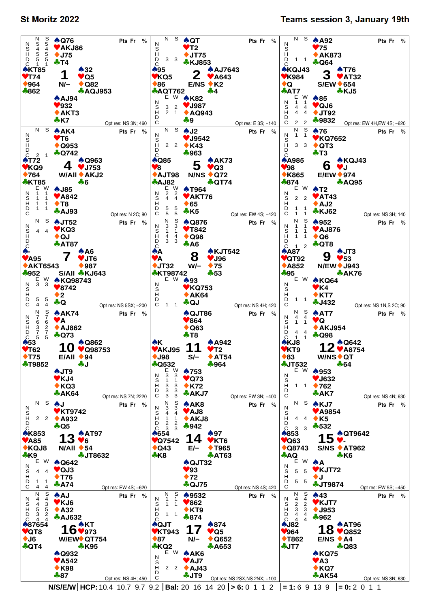